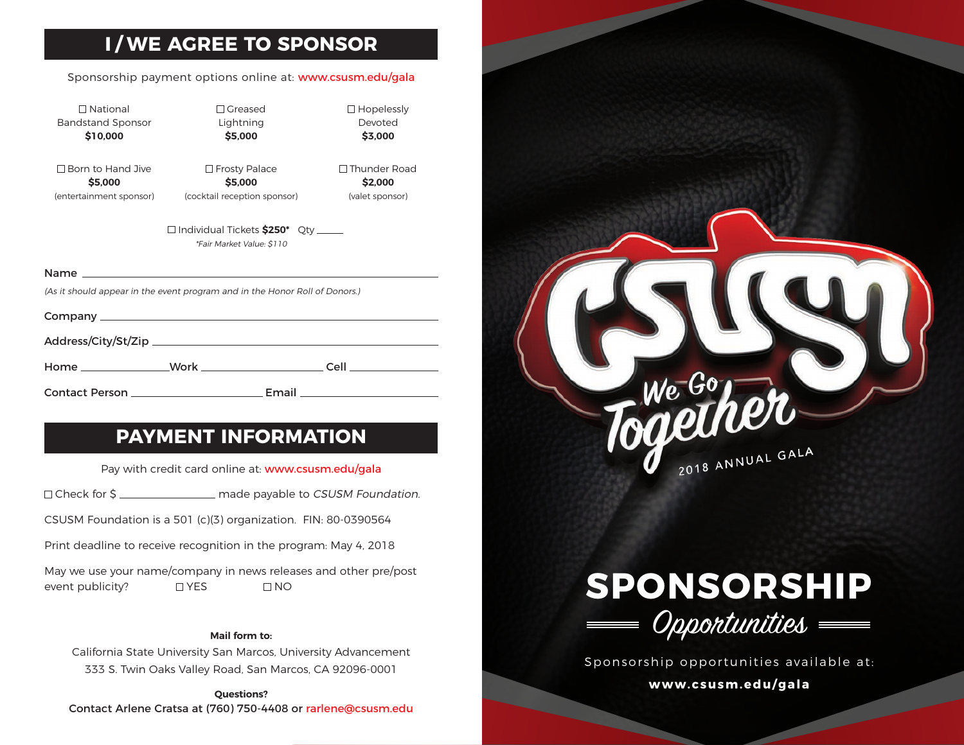## **I / WE AGREE TO SPONSOR**

#### Sponsorship payment options online at: www.csusm.edu/gala

 $\Box$  National Bandstand Sponsor **\$10,000**

 Greased Lightning **\$5,000**

□ Born to Hand Jive **\$5,000** (entertainment sponsor)

□ Frosty Palace **\$5,000** (cocktail reception sponsor)  $\Box$  Thunder Road **\$2,000** (valet sponsor)

 $\square$  Hopelessly Devoted **\$3,000**

 Individual Tickets **\$250\*** Qty \*Fair Market Value: \$110

#### Name

(As it should appear in the event program and in the Honor Roll of Donors.)

Company

Address/City/St/Zip

Contact Person Email

## **PAYMENT INFORMATION**

Home Work Cell

Pay with credit card online at: www.csusm.edu/gala

□ Check for \$ \_\_\_\_\_\_\_\_\_\_\_\_\_\_\_\_\_ made payable to CSUSM Foundation.

CSUSM Foundation is a 501 (c)(3) organization. FIN: 80-0390564

Print deadline to receive recognition in the program: May 4, 2018

May we use your name/company in news releases and other pre/post event publicity?  $\Box$  YES  $\Box$  NO

#### **Mail form to:**

California State University San Marcos, University Advancement 333 S. Twin Oaks Valley Road, San Marcos, CA 92096-0001

**Questions?** Contact Arlene Cratsa at (760) 750-4408 or rarlene@csusm.edu





Sponsorship opportunities available at: **www.csusm.edu/gala**

 $\overline{\phantom{a}}$